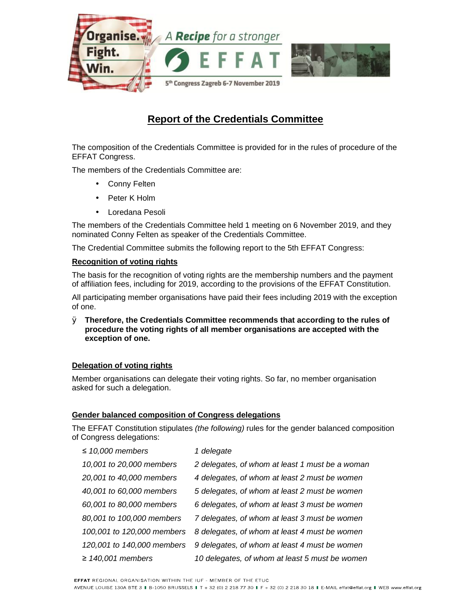

# **Report of the Credentials Committee**

The composition of the Credentials Committee is provided for in the rules of procedure of the EFFAT Congress.

The members of the Credentials Committee are:

- Conny Felten
- Peter K Holm
- Loredana Pesoli

The members of the Credentials Committee held 1 meeting on 6 November 2019, and they nominated Conny Felten as speaker of the Credentials Committee.

The Credential Committee submits the following report to the 5th EFFAT Congress:

## **Recognition of voting rights**

The basis for the recognition of voting rights are the membership numbers and the payment of affiliation fees, including for 2019, according to the provisions of the EFFAT Constitution.

All participating member organisations have paid their fees including 2019 with the exception of one.

Ø **Therefore, the Credentials Committee recommends that according to the rules of procedure the voting rights of all member organisations are accepted with the exception of one.** 

## **Delegation of voting rights**

Member organisations can delegate their voting rights. So far, no member organisation asked for such a delegation.

## **Gender balanced composition of Congress delegations**

The EFFAT Constitution stipulates *(the following)* rules for the gender balanced composition of Congress delegations:

| $\leq$ 10,000 members      | 1 delegate                                      |
|----------------------------|-------------------------------------------------|
| 10,001 to 20,000 members   | 2 delegates, of whom at least 1 must be a woman |
| 20,001 to 40,000 members   | 4 delegates, of whom at least 2 must be women   |
| 40,001 to 60,000 members   | 5 delegates, of whom at least 2 must be women   |
| 60,001 to 80,000 members   | 6 delegates, of whom at least 3 must be women   |
| 80,001 to 100,000 members  | 7 delegates, of whom at least 3 must be women   |
| 100,001 to 120,000 members | 8 delegates, of whom at least 4 must be women   |
| 120,001 to 140,000 members | 9 delegates, of whom at least 4 must be women   |
| $\geq$ 140,001 members     | 10 delegates, of whom at least 5 must be women  |